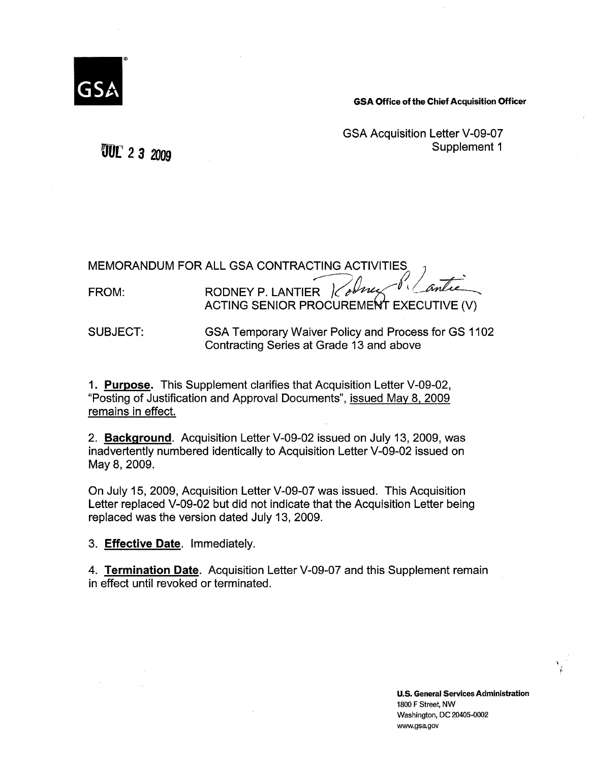

**GSA Office of the Chief Acquisition Officer** 

GSA Acquisition Letter V-09-07 Supplement 1

oor *2 s* <sup>2009</sup>

SUBJECT: GSA Temporary Waiver Policy and Process for GS 1102 Contracting Series at Grade 13 and above

1. **Purpose.** This Supplement clarifies that Acquisition Letter V-09-02, "Posting of Justification and Approval Documents", issued May 81 2009 remains in effect.

2. **Background.** Acquisition Letter V-09-02 issued on July 13, 2009, was inadvertently numbered identically to Acquisition Letter V-09-02 issued on May 8, 2009.

On July 15, 2009, Acquisition Letter V-09-07 was issued. This Acquisition Letter replaced V-09-02 but did not indicate that the Acquisition Letter being replaced was the version dated July 13, 2009.

3. **Effective Date.** Immediately.

4. **Termination Date.** Acquisition Letter V-09-07 and this Supplement remain in effect until revoked or terminated.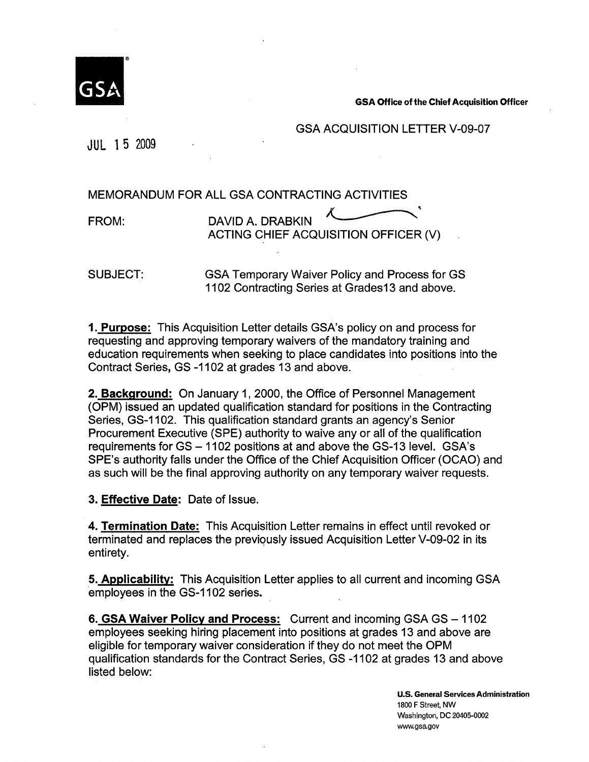

GSA Office of the Chief Acquisition Officer

# GSA ACQUISITION LETTER V-09-07

JUL 1 5 2009

MEMORANDUM FOR ALL GSA CONTRACTING ACTIVITIES

FROM:

ALL GSA CONTRACTING ACTIVITIES<br>DAVID A. DRABKIN ACTING CHIEF ACQUISITION OFFICER (V)

SUBJECT:

GSA Temporary Waiver Policy and Process for GS 1102 Contracting Series at Grades13 and above.

**1. Purpose:** This Acquisition Letter details GSA's policy on and process for requesting and approving temporary waivers of the mandatory training and education requirements when seeking to place candidates into positions into the Contract Series, GS -1102 at grades 13 and above.

**2. Background:** On January 1, 2000, the Office of Personnel Management (OPM) issued an updated qualification standard for positions in the Contracting Series, GS-1102. This qualification standard grants an agency's Senior Procurement Executive (SPE) authority to waive any or all of the qualification requirements for GS - 1102 positions at and above the GS-13 level. GSA's SPE's authority falls under the Office of the Chief Acquisition Officer (OCAO) and as such will be the final approving authority on any temporary waiver requests.

**3. Effective Date:** Date of Issue.

**4. Termination Date:** This Acquisition Letter remains in effect until revoked or terminated and replaces the previously issued Acquisition Letter V-09-02 in its entirety.

**5. Applicability:** This Acquisition Letter applies to all current and incoming GSA employees in the GS-1102 series.

6. GSA Waiver Policy and Process: Current and incoming GSA GS - 1102 employees seeking hiring placement into positions at grades 13 and above are eligible for temporary waiver consideration if they do not meet the OPM qualification standards for the Contract Series, GS -1102 at grades 13 and above listed below:

> **U.S. General Services Administration**  1800 F Street, NW Washington, DC 20405-0002 www.gsa.gov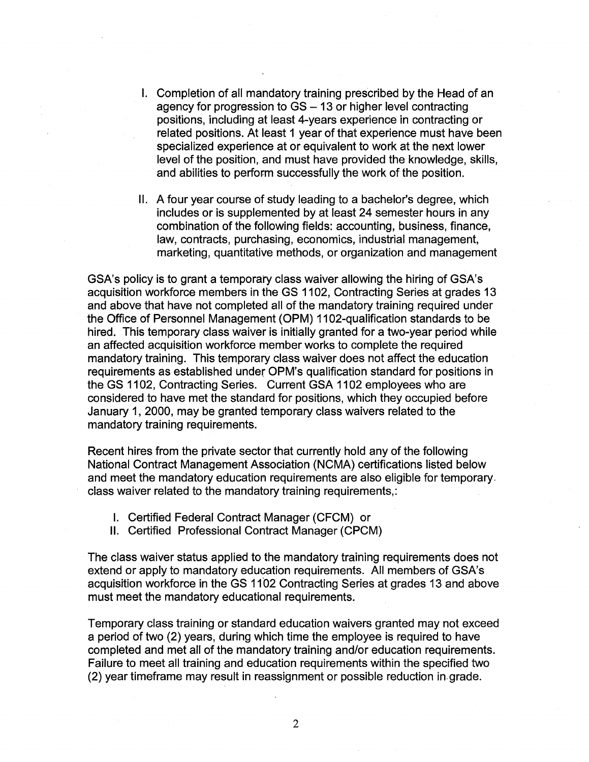- I. Completion of all mandatory training prescribed by the Head of an agency for progression to  $GS - 13$  or higher level contracting positions, including at least 4-years experience in contracting or related positions. At least 1 year of that experience must have been specialized experience at or equivalent to work at the next lower level of the position, and must have provided the knowledge, skills, and abilities to perform successfully the work of the position.
- II. A four year course of study leading to a bachelor's degree, which includes or is supplemented by at least 24 semester hours in any combination of the following fields: accounting, business, finance, law, contracts, purchasing, economics, industrial management, marketing, quantitative methods, or organization and management

GSA's policy is to grant a temporary class waiver allowing the hiring of GSA's acquisition workforce members in the GS 1102, Contracting Series at grades 13 and above that have not completed all of the mandatory training required under the Office of Personnel Management (OPM) 1102-qualification standards to be hired. This temporary class waiver is initially granted for a two-year period while an affected acquisition workforce member works to complete the required mandatory training. This temporary class waiver does not affect the education requirements as established under OPM's qualification standard for positions in the GS 1102, Contracting Series. Current GSA 1102 employees who are considered to have met the standard for positions, which they occupied before January 1, 2000, may be granted temporary class waivers related to the mandatory training requirements.

Recent hires from the private sector that currently hold any of the following National Contract Management Association (NCMA) certifications listed below and meet the mandatory education requirements are also eligible for temporary. class waiver related to the mandatory training requirements,:

- I. Certified Federal Contract Manager (CFCM) or
- II. Certified Professional Contract Manager (CPCM)

The class waiver status applied to the mandatory training requirements does not extend or apply to mandatory education requirements. All members of GSA's acquisition workforce in the GS 1102 Contracting Series at grades 13 and above must meet the mandatory educational requirements.

Temporary class training or standard education waivers granted may not exceed a period of two (2) years, during which time the employee is required to have completed and met all of the mandatory training and/or education requirements. Failure to meet all training and education requirements within the specified two (2) year timeframe may result in reassignment or possible reduction in. grade.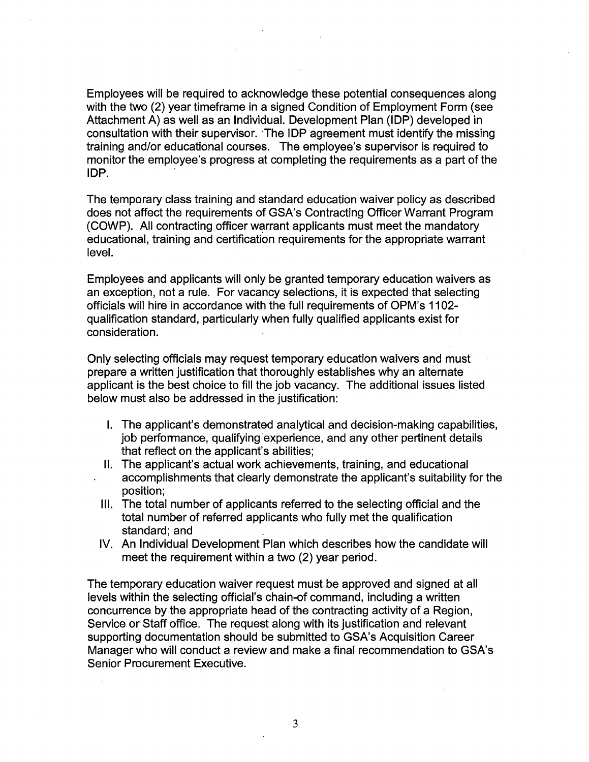Employees will be required to acknowledge these potential consequences along with the two (2) year timeframe in a signed Condition of Employment Form (see Attachment A) as well as an Individual. Development Plan (IDP) developed in consultation with their supervisor. "The IDP agreement must identify the missing training and/or educational courses. The employee's supervisor is required to monitor the employee's progress at completing the requirements as a part of the IDP. .

The temporary class training and standard education waiver policy as described does not affect the requirements of GSA's Contracting Officer Warrant Program (COWP). All contracting officer warrant applicants must meet the mandatory educational, training and certification requirements for the appropriate warrant level.

Employees and applicants will only be granted temporary education waivers as an exception, not a rule. For vacancy selections, it is expected that selecting officials will hire in accordance with the full requirements of OPM's 1102 qualification standard, particularly when fully qualified applicants exist for consideration.

Only selecting officials may request temporary education waivers and must prepare a written justification that thoroughly establishes why an alternate applicant is the best choice to fill the job vacancy. The additional issues listed below must also be addressed in the justification:

- I. The applicant's demonstrated analytical and decision-making capabilities, job performance, qualifying experience, and any other pertinent details that reflect on the applicant's abilities;
- II. The applicant's actual work achievements, training, and educational accomplishments that clearly demonstrate the applicant's suitability for the position;
- Ill. The total number of applicants referred to the selecting official and the total number of referred applicants who fully met the qualification standard; and
- IV. An Individual Development Plan which describes how the candidate will meet the requirement within a two (2) year period.

The temporary education waiver request must be approved and signed at all levels within the selecting official's chain-of command, including a written concurrence by the appropriate head of the contracting activity of a Region, Service or Staff office. The request along with its justification and relevant supporting documentation should be submitted to GSA's Acquisition Career Manager who will conduct a review and make a final recommendation to GSA's Senior Procurement Executive.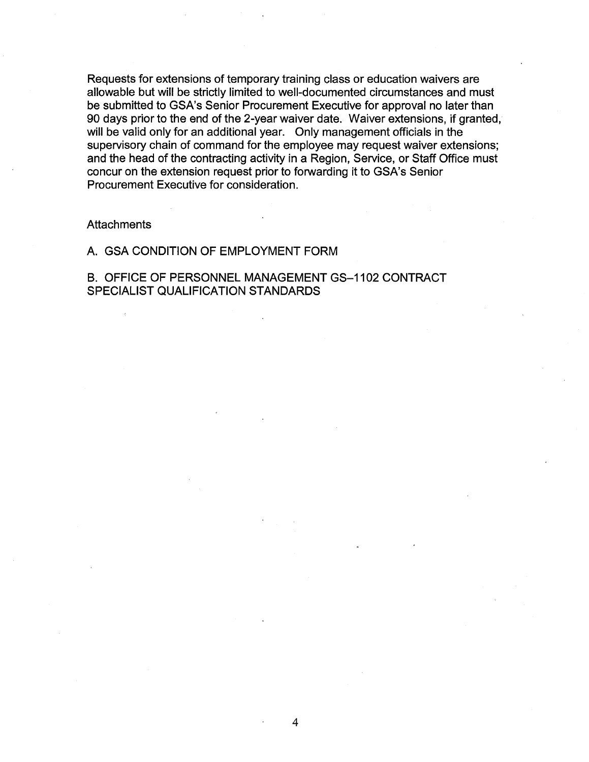Requests for extensions of temporary training class or education waivers are allowable but will be strictly limited to well-documented circumstances and must be submitted to GSA's Senior Procurement Executive for approval no later than 90 days prior to the end of the 2-year waiver date. Waiver extensions, if granted, will be valid only for an additional year. Only management officials in the supervisory chain of command for the employee may request waiver extensions; and the head of the contracting activity in a Region, Service, or Staff Office must concur on the extension request prior to forwarding it to GSA's Senior Procurement Executive for consideration.

#### **Attachments**

### A. GSA CONDITION OF EMPLOYMENT FORM

B. OFFICE OF PERSONNEL MANAGEMENT GS-1102 CONTRACT SPECIALIST QUALIFICATION STANDARDS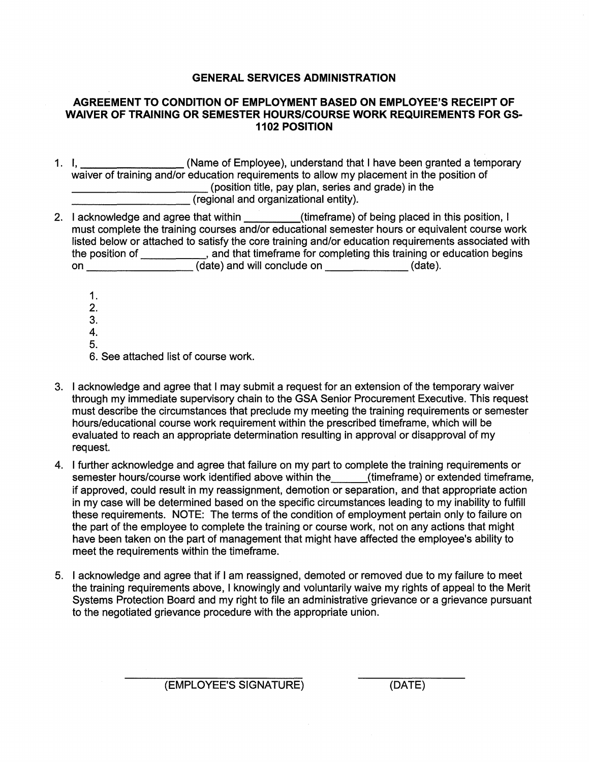# **GENERAL SERVICES ADMINISTRATION**

# **AGREEMENT TO CONDITION OF EMPLOYMENT BASED ON EMPLOYEE'S RECEIPT OF WAIVER OF TRAINING OR SEMESTER HOURS/COURSE WORK REQUIREMENTS FOR GS-1102 POSITION**

- 1. I,  $\frac{1}{2}$  (Name of Employee), understand that I have been granted a temporary waiver of training and/or education requirements to allow my placement in the position of \_\_\_\_\_\_\_\_\_\_ (position title, pay plan, series and grade) in the (position title, pay plan, series and grade) in the (regional and organizational entity).
- 2. I acknowledge and agree that within (timeframe) of being placed in this position, I must complete the training courses and/or educational semester hours or equivalent course work listed below or attached to satisfy the core training and/or education requirements associated with the position of \_\_\_\_\_\_\_\_\_, and that timeframe for completing this training or education begins on (date) and will conclude on (date).
	- 1. 2. 3. 4.
	- 5.

6. See attached list of course work.

- 3. I acknowledge and agree that I may submit a request for an extension of the temporary waiver through my immediate supervisory chain to the GSA Senior Procurement Executive. This request must describe the circumstances that preclude my meeting the training requirements or semester hours/educational course work requirement within the prescribed timeframe, which will be evaluated to reach an appropriate determination resulting in approval or disapproval of my request.
- 4. I further acknowledge and agree that failure on my part to complete the training requirements or semester hours/course work identified above within the (timeframe) or extended timeframe, if approved, could result in my reassignment, demotion or separation, and that appropriate action in my case will be determined based on the specific circumstances leading to my inability to fulfill these requirements. NOTE: The terms of the condition of employment pertain only to failure on the part of the employee to complete the training or course work, not on any actions that might have been taken on the part of management that might have affected the employee's ability to meet the requirements within the timeframe.
- 5. I acknowledge and agree that if I am reassigned, demoted or removed due to my failure to meet the training requirements above, I knowingly and voluntarily waive my rights of appeal to the Merit Systems Protection Board and my right to file an administrative grievance or a grievance pursuant to the negotiated grievance procedure with the appropriate union.

(EMPLOYEE'S SIGNATURE) (DATE)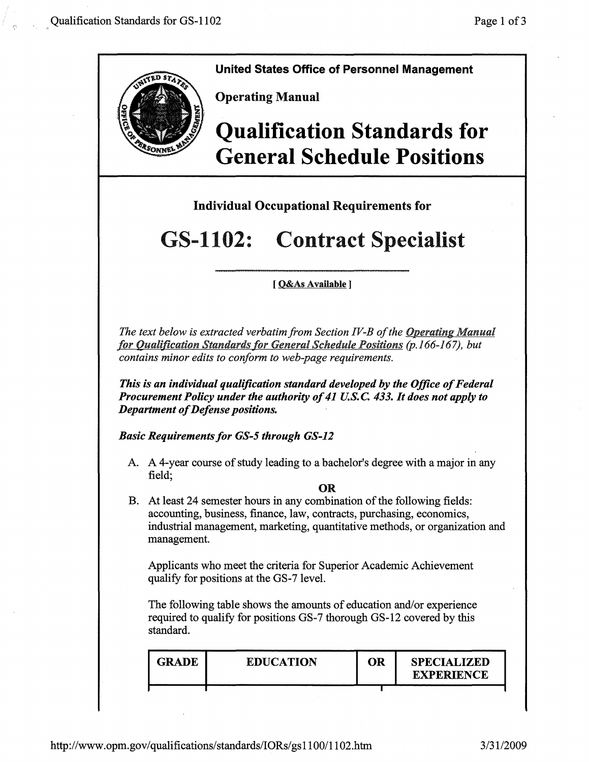

**United States Office of Personnel Management** 

**Operating Manual** 

# **Qualification Standards for General Schedule Positions**

**Individual Occupational Requirements for** 

# GS-1102: Contract Specialist

# [ **O&As Available J**

*The text below is extracted verbatim from Section IV-B of the Operating Manual for Qualification Standards for General Schedule Positions (p.166-167), but contains minor edits to conform to web-page requirements.* 

*This is an individual qualification standard developed by the Office of Federal Procurement Policy under the authority of 41 U.S.C 433. It does not apply to Department of Defense positions.* 

**Basic Requirements for GS-5 through GS-12** 

A. A 4-year course of study leading to a bachelor's degree with a major in any field;

**OR** 

B. At least 24 semester hours in any combination of the following fields: accounting, business, finance, law, contracts, purchasing, economics, industrial management, marketing, quantitative methods, or organization and management.

Applicants who meet the criteria for Superior Academic Achievement qualify for positions at the GS-7 level.

The following table shows the amounts of education and/or experience required to qualify for positions GS-7 thorough GS-12 covered by this standard.

| <b>GRADE</b> | <b>EDUCATION</b> | OR | <b>SPECIALIZED</b><br><b>EXPERIENCE</b> |
|--------------|------------------|----|-----------------------------------------|
|              |                  |    |                                         |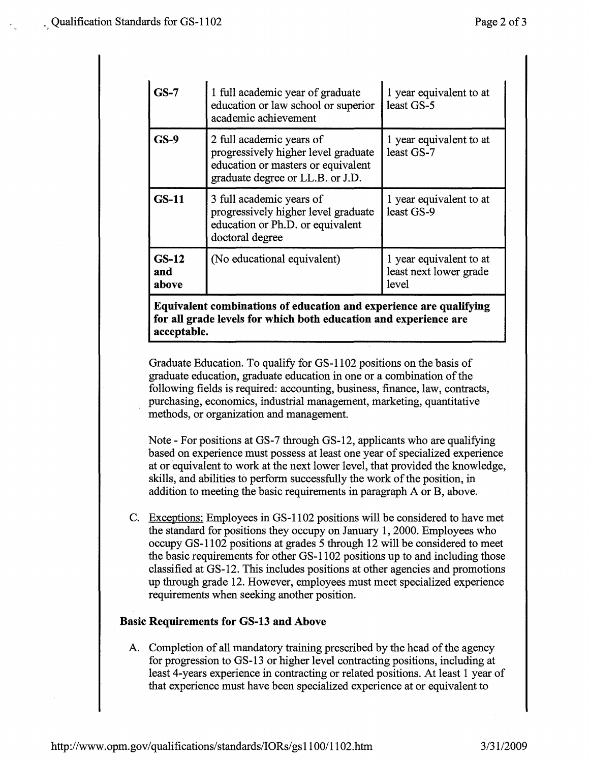| $GS-7$                  | 1 full academic year of graduate<br>education or law school or superior<br>academic achievement                                           | 1 year equivalent to at<br>least GS-5                      |
|-------------------------|-------------------------------------------------------------------------------------------------------------------------------------------|------------------------------------------------------------|
| $GS-9$                  | 2 full academic years of<br>progressively higher level graduate<br>education or masters or equivalent<br>graduate degree or LL.B. or J.D. | 1 year equivalent to at<br>least GS-7                      |
| <b>GS-11</b>            | 3 full academic years of<br>progressively higher level graduate<br>education or Ph.D. or equivalent<br>doctoral degree                    | 1 year equivalent to at<br>least GS-9                      |
| $GS-12$<br>and<br>above | (No educational equivalent)                                                                                                               | 1 year equivalent to at<br>least next lower grade<br>level |

**Equivalent combinations of education and experience are qualifying for all grade levels for which both education and experience are**  · **acceptable.** 

Graduate Education. To qualify for GS-1102 positions on the basis of graduate education, graduate education in one or a combination of the following fields is required: accounting, business, finance, law, contracts, purchasing, economics, industrial management, marketing, quantitative methods, or organization and management.

Note - For positions at GS-7 through GS-12, applicants who are qualifying based on experience must possess at least one year of specialized experience at or equivalent to work at the next lower level, that provided the knowledge, skills, and abilities to perform successfully the work of the position, in addition to meeting the basic requirements in paragraph A or B, above.

C. Exceptions: Employees in GS-1102 positions will be considered to have met the standard for positions they occupy on January 1, 2000. Employees who occupy GS-1102 positions at grades 5 through 12 will be considered to meet the basic requirements for other GS-1102 positions up to and including those classified at GS-12. This includes positions at other agencies and promotions up through grade 12. However, employees must meet specialized experience requirements when seeking another position.

# **Basic Requirements for GS-13 and Above**

A. Completion of all mandatory training prescribed by the head of the agency for progression to GS-13 or higher level contracting positions, including at least 4-years experience in contracting or related positions. At least 1 year of that experience must have been specialized experience at or equivalent to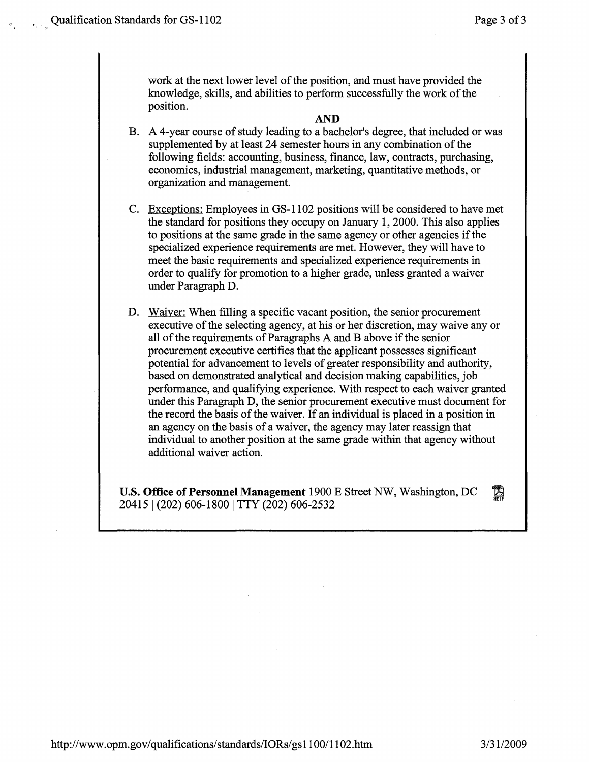work at the next lower level of the position, and must have provided the knowledge, skills, and abilities to perform successfully the work of the position.

### **AND**

- B. A 4-year course of study leading to a bachelor's degree, that included or was supplemented by at least 24 semester hours in any combination of the following fields: accounting, business, finance, law, contracts, purchasing, economics, industrial management, marketing, quantitative methods, or organization and management.
- C. Exceptions: Employees in GS-1102 positions will be considered to have met the standard for positions they occupy on January 1, 2000. This also applies to positions at the same grade in the same agency or other agencies if the specialized experience requirements are met. However, they will have to meet the basic requirements and specialized experience requirements in order to qualify for promotion to a higher grade, unless granted a waiver under Paragraph D.
- D. Waiver: When filling a specific vacant position, the senior procurement executive of the selecting agency, at his or her discretion, may waive any or all of the requirements of Paragraphs A and B above if the senior procurement executive certifies that the applicant possesses significant potential for advancement to levels of greater responsibility and authority, based on demonstrated analytical and decision making capabilities, job performance, and qualifying experience. With respect to each waiver granted under this Paragraph D, the senior procurement executive must document for the record the basis of the waiver. If an individual is placed in a position in an agency on the basis of a waiver, the agency may later reassign that individual to another position at the same grade within that agency without additional waiver action.

**U.S. Office of Personnel Management** 1900 E Street NW, Washington, DC 20415 | (202) 606-1800 | TTY (202) 606-2532  $\mathbb{Z}$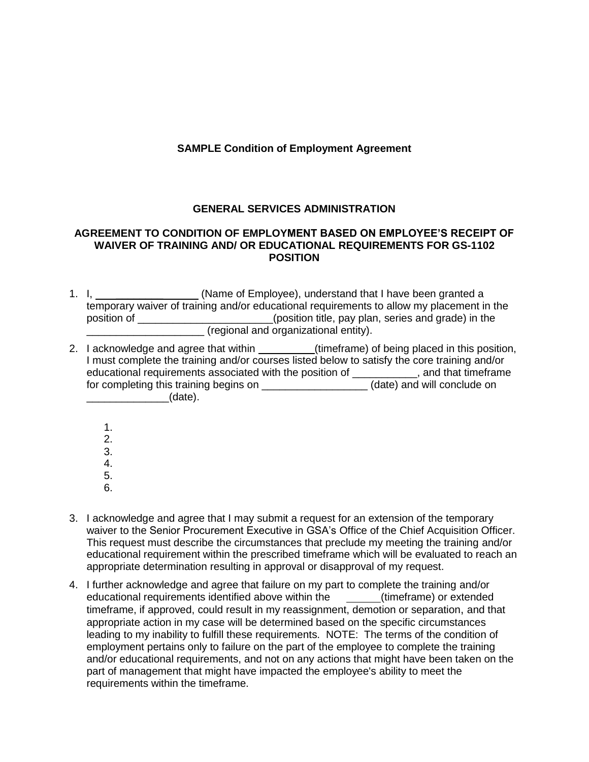# **SAMPLE Condition of Employment Agreement**

# **GENERAL SERVICES ADMINISTRATION**

## **AGREEMENT TO CONDITION OF EMPLOYMENT BASED ON EMPLOYEE'S RECEIPT OF WAIVER OF TRAINING AND/ OR EDUCATIONAL REQUIREMENTS FOR GS-1102 POSITION**

- 1. I, **we can construct (State of Employee)**, understand that I have been granted a temporary waiver of training and/or educational requirements to allow my placement in the position of **Exercise 20** position title, pay plan, series and grade) in the \_\_\_\_\_\_\_\_\_\_\_\_\_\_\_\_\_\_\_\_ (regional and organizational entity).
- 2. I acknowledge and agree that within \_\_\_\_\_\_\_\_\_(timeframe) of being placed in this position, I must complete the training and/or courses listed below to satisfy the core training and/or educational requirements associated with the position of \_\_\_\_\_\_\_\_\_\_\_, and that timeframe for completing this training begins on \_\_\_\_\_\_\_\_\_\_\_\_\_\_\_\_\_\_(date) and will conclude on  $_1$  (date).
	- 1.
	- 2.
	- 3.
	- 4.
	- 5.
	- 6.
- 3. I acknowledge and agree that I may submit a request for an extension of the temporary waiver to the Senior Procurement Executive in GSA's Office of the Chief Acquisition Officer. This request must describe the circumstances that preclude my meeting the training and/or educational requirement within the prescribed timeframe which will be evaluated to reach an appropriate determination resulting in approval or disapproval of my request.
- 4. I further acknowledge and agree that failure on my part to complete the training and/or educational requirements identified above within the (timeframe) or extended timeframe, if approved, could result in my reassignment, demotion or separation, and that appropriate action in my case will be determined based on the specific circumstances leading to my inability to fulfill these requirements. NOTE: The terms of the condition of employment pertains only to failure on the part of the employee to complete the training and/or educational requirements, and not on any actions that might have been taken on the part of management that might have impacted the employee's ability to meet the requirements within the timeframe.